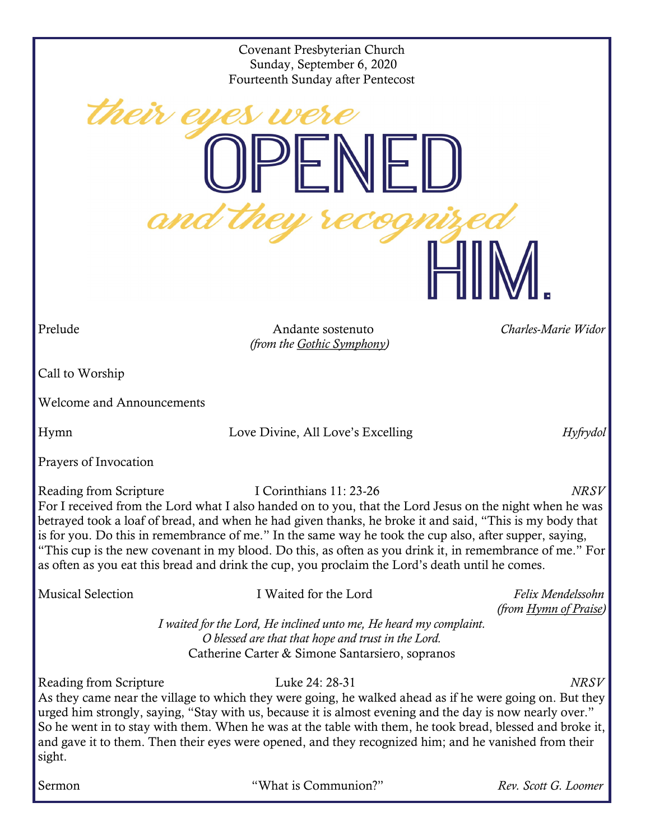Covenant Presbyterian Church Sunday, September 6, 2020 Fourteenth Sunday after Pentecost

Prelude Andante sostenuto *Charles-Marie Widor (from the Gothic Symphony)*

Call to Worship

Welcome and Announcements

their ey

Hymn Love Divine, All Love's Excelling *Hyfrydol*

Prayers of Invocation

Reading from Scripture I Corinthians 11: 23-26 *NRSV* For I received from the Lord what I also handed on to you, that the Lord Jesus on the night when he was betrayed took a loaf of bread, and when he had given thanks, he broke it and said, "This is my body that is for you. Do this in remembrance of me." In the same way he took the cup also, after supper, saying, "This cup is the new covenant in my blood. Do this, as often as you drink it, in remembrance of me." For as often as you eat this bread and drink the cup, you proclaim the Lord's death until he comes.

Musical Selection I Waited for the Lord *Felix Mendelssohn* 

*(from Hymn of Praise)*

*I waited for the Lord, He inclined unto me, He heard my complaint. O blessed are that that hope and trust in the Lord.* Catherine Carter & Simone Santarsiero, sopranos

Reading from Scripture Luke 24: 28-31 *NRSV* 

As they came near the village to which they were going, he walked ahead as if he were going on. But they urged him strongly, saying, "Stay with us, because it is almost evening and the day is now nearly over." So he went in to stay with them. When he was at the table with them, he took bread, blessed and broke it, and gave it to them. Then their eyes were opened, and they recognized him; and he vanished from their sight.

Sermon "What is Communion?" *Rev. Scott G. Loomer*